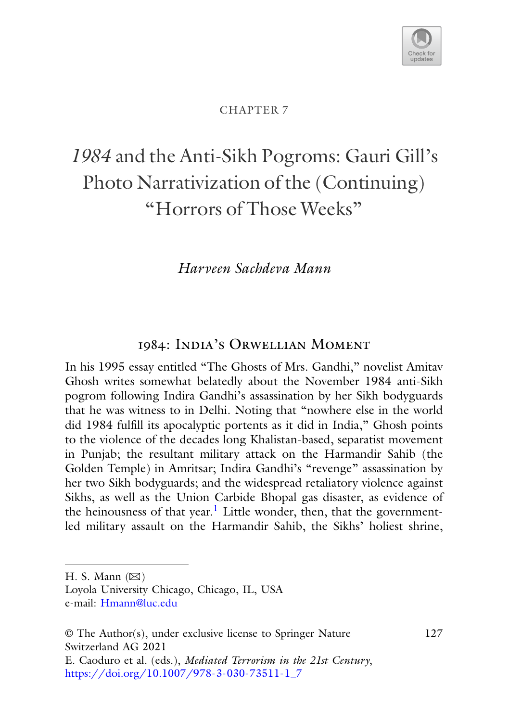

# *1984* and the Anti-Sikh Pogroms: Gauri Gill's Photo Narrativization of the (Continuing) "Horrors of Those Weeks"

# *Harveen Sachdeva Mann*

# 1984: India's Orwellian Moment

In his 1995 essay entitled "The Ghosts of Mrs. Gandhi," novelist Amitav Ghosh writes somewhat belatedly about the November 1984 anti-Sikh pogrom following Indira Gandhi's assassination by her Sikh bodyguards that he was witness to in Delhi. Noting that "nowhere else in the world did 1984 fulfill its apocalyptic portents as it did in India," Ghosh points to the violence of the decades long Khalistan-based, separatist movement in Punjab; the resultant military attack on the Harmandir Sahib (the Golden Temple) in Amritsar; Indira Gandhi's "revenge" assassination by her two Sikh bodyguards; and the widespread retaliatory violence against Sikhs, as well as the Union Carbide Bhopal gas disaster, as evidence of the heinousness of that year.<sup>1</sup> Little wonder, then, that the governmentled military assault on the Harmandir Sahib, the Sikhs' holiest shrine,

© The Author(s), under exclusive license to Springer Nature Switzerland AG 2021 E. Caoduro et al. (eds.), *Mediated Terrorism in the 21st Century*, [https://doi.org/10.1007/978-3-030-73511-1\\_7](https://doi.org/10.1007/978-3-030-73511-1_7)

127

H. S. Mann  $(\boxtimes)$ 

Loyola University Chicago, Chicago, IL, USA e-mail: [Hmann@luc.edu](mailto:Hmann@luc.edu)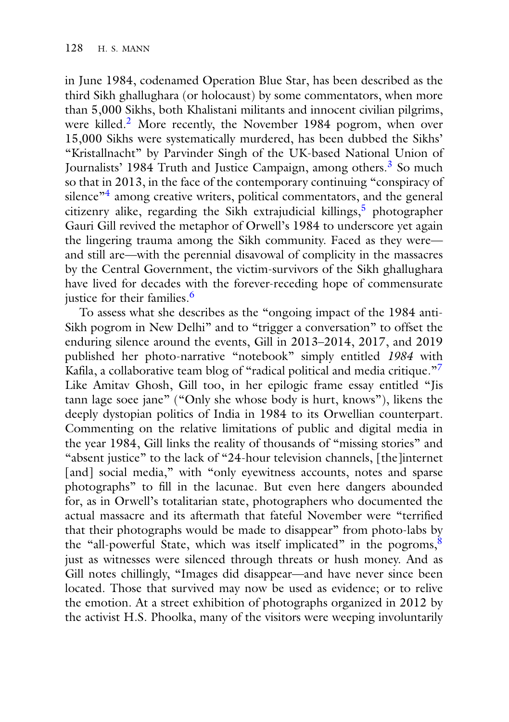in June 1984, codenamed Operation Blue Star, has been described as the third Sikh ghallughara (or holocaust) by some commentators, when more than 5,000 Sikhs, both Khalistani militants and innocent civilian pilgrims, were killed.<sup>2</sup> More recently, the November 1984 pogrom, when over 15,000 Sikhs were systematically murdered, has been dubbed the Sikhs' "Kristallnacht" by Parvinder Singh of the UK-based National Union of Journalists' 1984 Truth and Justice Campaign, among others.<sup>3</sup> So much so that in 2013, in the face of the contemporary continuing "conspiracy of silence<sup>"4</sup> among creative writers, political commentators, and the general citizenry alike, regarding the Sikh extrajudicial killings,<sup>5</sup> photographer Gauri Gill revived the metaphor of Orwell's 1984 to underscore yet again the lingering trauma among the Sikh community. Faced as they were and still are—with the perennial disavowal of complicity in the massacres by the Central Government, the victim-survivors of the Sikh ghallughara have lived for decades with the forever-receding hope of commensurate iustice for their families. $<sup>6</sup>$ </sup>

To assess what she describes as the "ongoing impact of the 1984 anti-Sikh pogrom in New Delhi" and to "trigger a conversation" to offset the enduring silence around the events, Gill in 2013–2014, 2017, and 2019 published her photo-narrative "notebook" simply entitled *1984* with Kafila, a collaborative team blog of "radical political and media critique."<sup>7</sup> Like Amitav Ghosh, Gill too, in her epilogic frame essay entitled "Jis tann lage soee jane" ("Only she whose body is hurt, knows"), likens the deeply dystopian politics of India in 1984 to its Orwellian counterpart. Commenting on the relative limitations of public and digital media in the year 1984, Gill links the reality of thousands of "missing stories" and "absent justice" to the lack of "24-hour television channels, [the]internet [and] social media," with "only eyewitness accounts, notes and sparse photographs" to fill in the lacunae. But even here dangers abounded for, as in Orwell's totalitarian state, photographers who documented the actual massacre and its aftermath that fateful November were "terrified that their photographs would be made to disappear" from photo-labs by the "all-powerful State, which was itself implicated" in the pogroms, $\frac{8}{3}$ just as witnesses were silenced through threats or hush money. And as Gill notes chillingly, "Images did disappear—and have never since been located. Those that survived may now be used as evidence; or to relive the emotion. At a street exhibition of photographs organized in 2012 by the activist H.S. Phoolka, many of the visitors were weeping involuntarily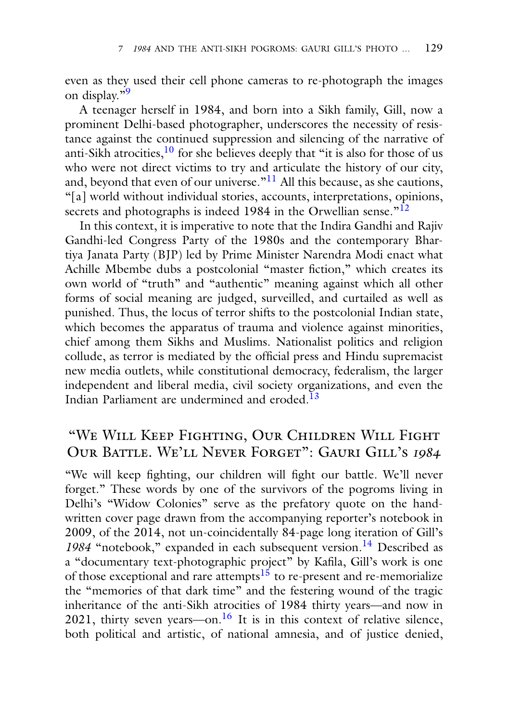even as they used their cell phone cameras to re-photograph the images on display."9

A teenager herself in 1984, and born into a Sikh family, Gill, now a prominent Delhi-based photographer, underscores the necessity of resistance against the continued suppression and silencing of the narrative of anti-Sikh atrocities, $10$  for she believes deeply that "it is also for those of us who were not direct victims to try and articulate the history of our city, and, beyond that even of our universe." $^{11}$  All this because, as she cautions, "[a] world without individual stories, accounts, interpretations, opinions, secrets and photographs is indeed 1984 in the Orwellian sense.<sup>"12</sup>

In this context, it is imperative to note that the Indira Gandhi and Rajiv Gandhi-led Congress Party of the 1980s and the contemporary Bhartiya Janata Party (BJP) led by Prime Minister Narendra Modi enact what Achille Mbembe dubs a postcolonial "master fiction," which creates its own world of "truth" and "authentic" meaning against which all other forms of social meaning are judged, surveilled, and curtailed as well as punished. Thus, the locus of terror shifts to the postcolonial Indian state, which becomes the apparatus of trauma and violence against minorities, chief among them Sikhs and Muslims. Nationalist politics and religion collude, as terror is mediated by the official press and Hindu supremacist new media outlets, while constitutional democracy, federalism, the larger independent and liberal media, civil society organizations, and even the Indian Parliament are undermined and eroded.<sup>13</sup>

## "We Will Keep Fighting, Our Children Will Fight Our Battle. We'll Never Forget": Gauri Gill's <sup>1984</sup>

"We will keep fighting, our children will fight our battle. We'll never forget." These words by one of the survivors of the pogroms living in Delhi's "Widow Colonies" serve as the prefatory quote on the handwritten cover page drawn from the accompanying reporter's notebook in 2009, of the 2014, not un-coincidentally 84-page long iteration of Gill's 1984 "notebook," expanded in each subsequent version.<sup>14</sup> Described as a "documentary text-photographic project" by Kafila, Gill's work is one of those exceptional and rare attempts<sup>15</sup> to re-present and re-memorialize the "memories of that dark time" and the festering wound of the tragic inheritance of the anti-Sikh atrocities of 1984 thirty years—and now in 2021, thirty seven years—on.<sup>16</sup> It is in this context of relative silence, both political and artistic, of national amnesia, and of justice denied,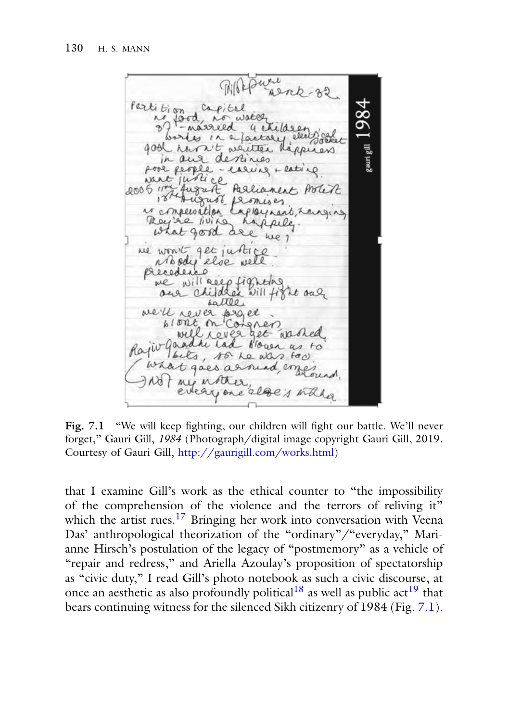Printer Alrak-32  $_{\rm g}$ auri gill $1984$ Partition, capital 27 food no water 4 etidee works in a factory electricite good run it wenter Rappers in and destines pool people - carvis + lating mat justice Parlianent Potek  $200511$ August promises is compensation implayment, ranging Rey're living happeles what good are we ne won't get justice<br>Mody else well we will neep fighting<br>and children will fight out sattle we'll rever project well reveal get work Rajiv Gaadhe Lad Noven as to locks, so he was soo what goes a round, emper read not my instruct, every one alge's while

Fig. 7.1 "We will keep fighting, our children will fight our battle. We'll never forget," Gauri Gill, *1984* (Photograph/digital image copyright Gauri Gill, 2019. Courtesy of Gauri Gill, [http://gaurigill.com/works.html\)](http://gaurigill.com/works.html)

that I examine Gill's work as the ethical counter to "the impossibility of the comprehension of the violence and the terrors of reliving it" which the artist rues.<sup>17</sup> Bringing her work into conversation with Veena Das' anthropological theorization of the "ordinary"/"everyday," Marianne Hirsch's postulation of the legacy of "postmemory" as a vehicle of "repair and redress," and Ariella Azoulay's proposition of spectatorship as "civic duty," I read Gill's photo notebook as such a civic discourse, at once an aesthetic as also profoundly political<sup>18</sup> as well as public act<sup>19</sup> that bears continuing witness for the silenced Sikh citizenry of 1984 (Fig. 7.1).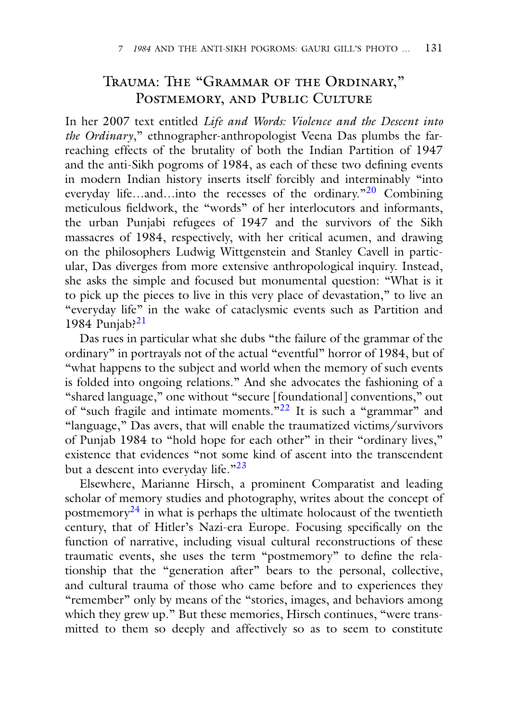## Trauma: The "Grammar of the Ordinary," POSTMEMORY, AND PUBLIC CULTURE

In her 2007 text entitled *Life and Words: Violence and the Descent into the Ordinary*," ethnographer-anthropologist Veena Das plumbs the farreaching effects of the brutality of both the Indian Partition of 1947 and the anti-Sikh pogroms of 1984, as each of these two defining events in modern Indian history inserts itself forcibly and interminably "into everyday life…and…into the recesses of the ordinary.<sup>"20</sup> Combining meticulous fieldwork, the "words" of her interlocutors and informants, the urban Punjabi refugees of 1947 and the survivors of the Sikh massacres of 1984, respectively, with her critical acumen, and drawing on the philosophers Ludwig Wittgenstein and Stanley Cavell in particular, Das diverges from more extensive anthropological inquiry. Instead, she asks the simple and focused but monumental question: "What is it to pick up the pieces to live in this very place of devastation," to live an "everyday life" in the wake of cataclysmic events such as Partition and 1984 Punjab? $^{21}$ 

Das rues in particular what she dubs "the failure of the grammar of the ordinary" in portrayals not of the actual "eventful" horror of 1984, but of "what happens to the subject and world when the memory of such events is folded into ongoing relations." And she advocates the fashioning of a "shared language," one without "secure [foundational] conventions," out of "such fragile and intimate moments."22 It is such a "grammar" and "language," Das avers, that will enable the traumatized victims/survivors of Punjab 1984 to "hold hope for each other" in their "ordinary lives," existence that evidences "not some kind of ascent into the transcendent but a descent into everyday life."<sup>23</sup>

Elsewhere, Marianne Hirsch, a prominent Comparatist and leading scholar of memory studies and photography, writes about the concept of postmemory $^{24}$  in what is perhaps the ultimate holocaust of the twentieth century, that of Hitler's Nazi-era Europe. Focusing specifically on the function of narrative, including visual cultural reconstructions of these traumatic events, she uses the term "postmemory" to define the relationship that the "generation after" bears to the personal, collective, and cultural trauma of those who came before and to experiences they "remember" only by means of the "stories, images, and behaviors among which they grew up." But these memories, Hirsch continues, "were transmitted to them so deeply and affectively so as to seem to constitute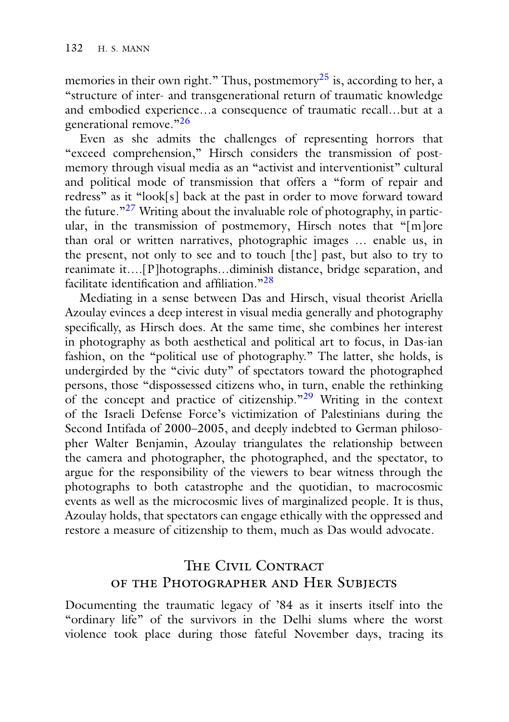memories in their own right." Thus, postmemory<sup>25</sup> is, according to her, a "structure of inter- and transgenerational return of traumatic knowledge and embodied experience…a consequence of traumatic recall…but at a generational remove."<sup>26</sup>

Even as she admits the challenges of representing horrors that "exceed comprehension," Hirsch considers the transmission of postmemory through visual media as an "activist and interventionist" cultural and political mode of transmission that offers a "form of repair and redress" as it "look[s] back at the past in order to move forward toward the future. $127$  Writing about the invaluable role of photography, in particular, in the transmission of postmemory, Hirsch notes that "[m]ore than oral or written narratives, photographic images … enable us, in the present, not only to see and to touch [the] past, but also to try to reanimate it….[P]hotographs…diminish distance, bridge separation, and facilitate identification and affiliation."<sup>28</sup>

Mediating in a sense between Das and Hirsch, visual theorist Ariella Azoulay evinces a deep interest in visual media generally and photography specifically, as Hirsch does. At the same time, she combines her interest in photography as both aesthetical and political art to focus, in Das-ian fashion, on the "political use of photography." The latter, she holds, is undergirded by the "civic duty" of spectators toward the photographed persons, those "dispossessed citizens who, in turn, enable the rethinking of the concept and practice of citizenship." $29$  Writing in the context of the Israeli Defense Force's victimization of Palestinians during the Second Intifada of 2000–2005, and deeply indebted to German philosopher Walter Benjamin, Azoulay triangulates the relationship between the camera and photographer, the photographed, and the spectator, to argue for the responsibility of the viewers to bear witness through the photographs to both catastrophe and the quotidian, to macrocosmic events as well as the microcosmic lives of marginalized people. It is thus, Azoulay holds, that spectators can engage ethically with the oppressed and restore a measure of citizenship to them, much as Das would advocate.

# THE CIVIL CONTRACT of the Photographer and Her Subjects

Documenting the traumatic legacy of '84 as it inserts itself into the "ordinary life" of the survivors in the Delhi slums where the worst violence took place during those fateful November days, tracing its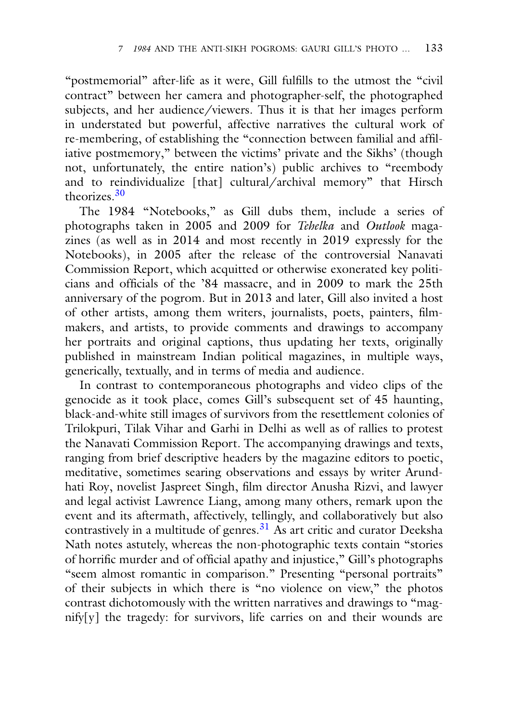"postmemorial" after-life as it were, Gill fulfills to the utmost the "civil contract" between her camera and photographer-self, the photographed subjects, and her audience/viewers. Thus it is that her images perform in understated but powerful, affective narratives the cultural work of re-membering, of establishing the "connection between familial and affiliative postmemory," between the victims' private and the Sikhs' (though not, unfortunately, the entire nation's) public archives to "reembody and to reindividualize [that] cultural/archival memory" that Hirsch theorizes.30

The 1984 "Notebooks," as Gill dubs them, include a series of photographs taken in 2005 and 2009 for *Tehelka* and *Outlook* magazines (as well as in 2014 and most recently in 2019 expressly for the Notebooks), in 2005 after the release of the controversial Nanavati Commission Report, which acquitted or otherwise exonerated key politicians and officials of the '84 massacre, and in 2009 to mark the 25th anniversary of the pogrom. But in 2013 and later, Gill also invited a host of other artists, among them writers, journalists, poets, painters, filmmakers, and artists, to provide comments and drawings to accompany her portraits and original captions, thus updating her texts, originally published in mainstream Indian political magazines, in multiple ways, generically, textually, and in terms of media and audience.

In contrast to contemporaneous photographs and video clips of the genocide as it took place, comes Gill's subsequent set of 45 haunting, black-and-white still images of survivors from the resettlement colonies of Trilokpuri, Tilak Vihar and Garhi in Delhi as well as of rallies to protest the Nanavati Commission Report. The accompanying drawings and texts, ranging from brief descriptive headers by the magazine editors to poetic, meditative, sometimes searing observations and essays by writer Arundhati Roy, novelist Jaspreet Singh, film director Anusha Rizvi, and lawyer and legal activist Lawrence Liang, among many others, remark upon the event and its aftermath, affectively, tellingly, and collaboratively but also contrastively in a multitude of genres.<sup>31</sup> As art critic and curator Deeksha Nath notes astutely, whereas the non-photographic texts contain "stories of horrific murder and of official apathy and injustice," Gill's photographs "seem almost romantic in comparison." Presenting "personal portraits" of their subjects in which there is "no violence on view," the photos contrast dichotomously with the written narratives and drawings to "magnify[y] the tragedy: for survivors, life carries on and their wounds are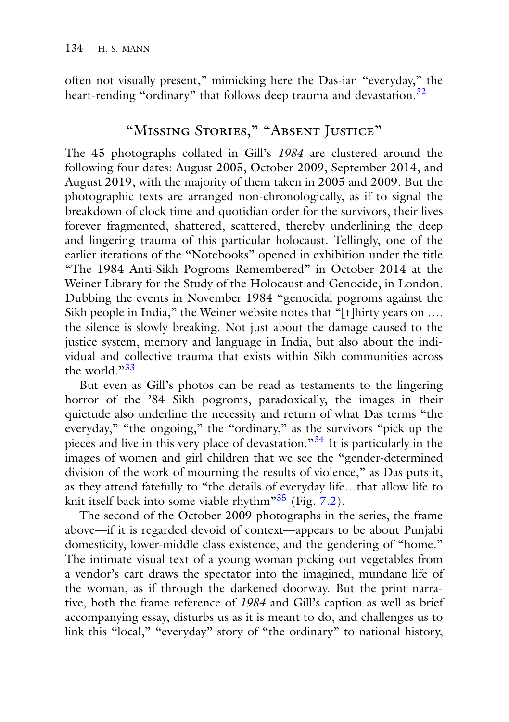often not visually present," mimicking here the Das-ian "everyday," the heart-rending "ordinary" that follows deep trauma and devastation.<sup>32</sup>

# "Missing Stories," "Absent Justice"

The 45 photographs collated in Gill's *1984* are clustered around the following four dates: August 2005, October 2009, September 2014, and August 2019, with the majority of them taken in 2005 and 2009. But the photographic texts are arranged non-chronologically, as if to signal the breakdown of clock time and quotidian order for the survivors, their lives forever fragmented, shattered, scattered, thereby underlining the deep and lingering trauma of this particular holocaust. Tellingly, one of the earlier iterations of the "Notebooks" opened in exhibition under the title "The 1984 Anti-Sikh Pogroms Remembered" in October 2014 at the Weiner Library for the Study of the Holocaust and Genocide, in London. Dubbing the events in November 1984 "genocidal pogroms against the Sikh people in India," the Weiner website notes that "[t]hirty years on .... the silence is slowly breaking. Not just about the damage caused to the justice system, memory and language in India, but also about the individual and collective trauma that exists within Sikh communities across the world. $33$ 

But even as Gill's photos can be read as testaments to the lingering horror of the '84 Sikh pogroms, paradoxically, the images in their quietude also underline the necessity and return of what Das terms "the everyday," "the ongoing," the "ordinary," as the survivors "pick up the pieces and live in this very place of devastation."<sup>34</sup> It is particularly in the images of women and girl children that we see the "gender-determined division of the work of mourning the results of violence," as Das puts it, as they attend fatefully to "the details of everyday life…that allow life to knit itself back into some viable rhythm"<sup>35</sup> (Fig. 7.2).

The second of the October 2009 photographs in the series, the frame above—if it is regarded devoid of context—appears to be about Punjabi domesticity, lower-middle class existence, and the gendering of "home." The intimate visual text of a young woman picking out vegetables from a vendor's cart draws the spectator into the imagined, mundane life of the woman, as if through the darkened doorway. But the print narrative, both the frame reference of *1984* and Gill's caption as well as brief accompanying essay, disturbs us as it is meant to do, and challenges us to link this "local," "everyday" story of "the ordinary" to national history,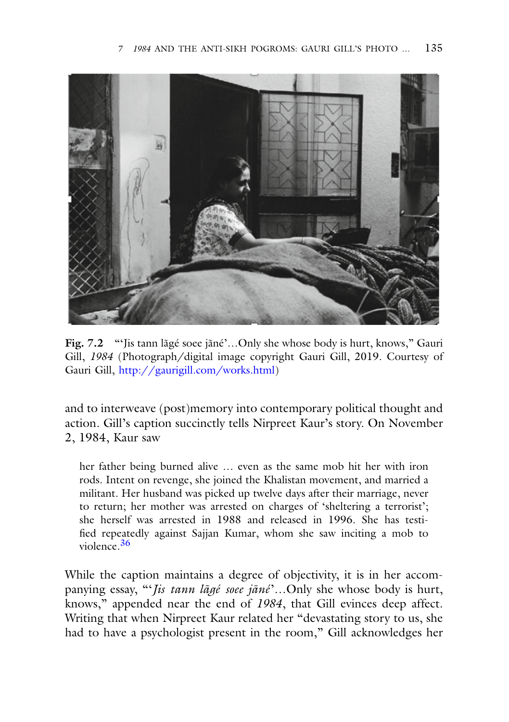

**Fig. 7.2** "'Jis tann lãgé soee jãné'…Only she whose body is hurt, knows," Gauri Gill, *1984* (Photograph/digital image copyright Gauri Gill, 2019. Courtesy of Gauri Gill, [http://gaurigill.com/works.html\)](http://gaurigill.com/works.html)

and to interweave (post)memory into contemporary political thought and action. Gill's caption succinctly tells Nirpreet Kaur's story. On November 2, 1984, Kaur saw

her father being burned alive … even as the same mob hit her with iron rods. Intent on revenge, she joined the Khalistan movement, and married a militant. Her husband was picked up twelve days after their marriage, never to return; her mother was arrested on charges of 'sheltering a terrorist'; she herself was arrested in 1988 and released in 1996. She has testified repeatedly against Sajjan Kumar, whom she saw inciting a mob to violence.36

While the caption maintains a degree of objectivity, it is in her accompanying essay, "'*Jis tann lãgé soee jãné*'…Only she whose body is hurt, knows," appended near the end of *1984*, that Gill evinces deep affect. Writing that when Nirpreet Kaur related her "devastating story to us, she had to have a psychologist present in the room," Gill acknowledges her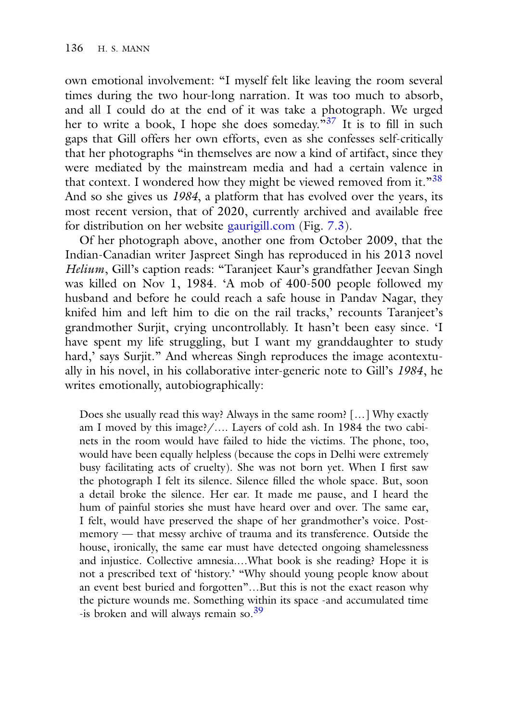own emotional involvement: "I myself felt like leaving the room several times during the two hour-long narration. It was too much to absorb, and all I could do at the end of it was take a photograph. We urged her to write a book, I hope she does someday.<sup>"37</sup> It is to fill in such gaps that Gill offers her own efforts, even as she confesses self-critically that her photographs "in themselves are now a kind of artifact, since they were mediated by the mainstream media and had a certain valence in that context. I wondered how they might be viewed removed from it."<sup>38</sup> And so she gives us *1984*, a platform that has evolved over the years, its most recent version, that of 2020, currently archived and available free for distribution on her website [gaurigill.com](http://gaurigill.com) (Fig. 7.3).

Of her photograph above, another one from October 2009, that the Indian-Canadian writer Jaspreet Singh has reproduced in his 2013 novel *Helium*, Gill's caption reads: "Taranjeet Kaur's grandfather Jeevan Singh was killed on Nov 1, 1984. 'A mob of 400-500 people followed my husband and before he could reach a safe house in Pandav Nagar, they knifed him and left him to die on the rail tracks,' recounts Taranjeet's grandmother Surjit, crying uncontrollably. It hasn't been easy since. 'I have spent my life struggling, but I want my granddaughter to study hard,' says Surjit." And whereas Singh reproduces the image acontextually in his novel, in his collaborative inter-generic note to Gill's *1984*, he writes emotionally, autobiographically:

Does she usually read this way? Always in the same room? […] Why exactly am I moved by this image?/…. Layers of cold ash. In 1984 the two cabinets in the room would have failed to hide the victims. The phone, too, would have been equally helpless (because the cops in Delhi were extremely busy facilitating acts of cruelty). She was not born yet. When I first saw the photograph I felt its silence. Silence filled the whole space. But, soon a detail broke the silence. Her ear. It made me pause, and I heard the hum of painful stories she must have heard over and over. The same ear, I felt, would have preserved the shape of her grandmother's voice. Postmemory — that messy archive of trauma and its transference. Outside the house, ironically, the same ear must have detected ongoing shamelessness and injustice. Collective amnesia.…What book is she reading? Hope it is not a prescribed text of 'history.' "Why should young people know about an event best buried and forgotten"…But this is not the exact reason why the picture wounds me. Something within its space -and accumulated time -is broken and will always remain so.<sup>39</sup>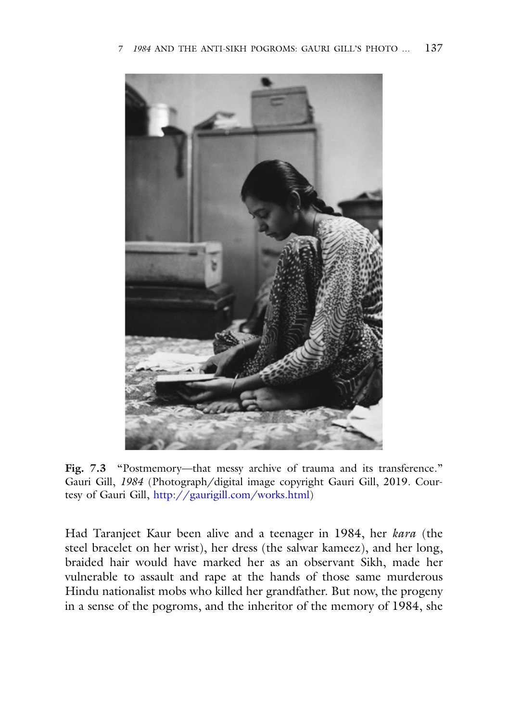

Fig. 7.3 "Postmemory—that messy archive of trauma and its transference." Gauri Gill, *1984* (Photograph/digital image copyright Gauri Gill, 2019. Courtesy of Gauri Gill, [http://gaurigill.com/works.html\)](http://gaurigill.com/works.html)

Had Taranjeet Kaur been alive and a teenager in 1984, her *kara* (the steel bracelet on her wrist), her dress (the salwar kameez), and her long, braided hair would have marked her as an observant Sikh, made her vulnerable to assault and rape at the hands of those same murderous Hindu nationalist mobs who killed her grandfather. But now, the progeny in a sense of the pogroms, and the inheritor of the memory of 1984, she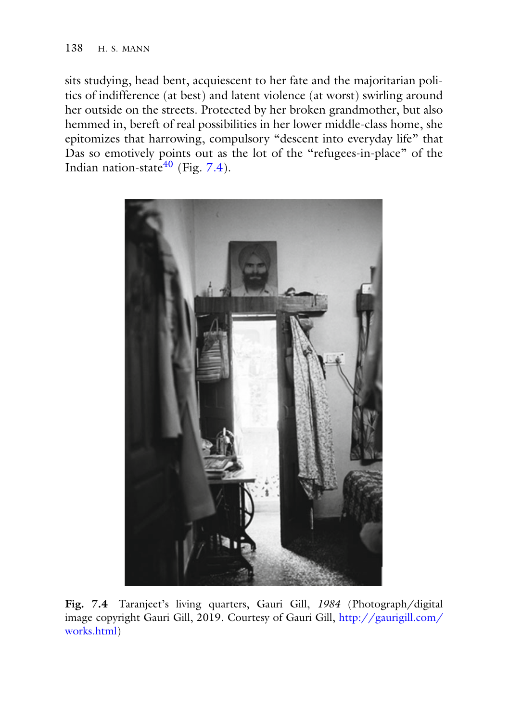sits studying, head bent, acquiescent to her fate and the majoritarian politics of indifference (at best) and latent violence (at worst) swirling around her outside on the streets. Protected by her broken grandmother, but also hemmed in, bereft of real possibilities in her lower middle-class home, she epitomizes that harrowing, compulsory "descent into everyday life" that Das so emotively points out as the lot of the "refugees-in-place" of the Indian nation-state $40$  (Fig. 7.4).



**Fig. 7.4** Taranjeet's living quarters, Gauri Gill, *1984* (Photograph/digital [image copyright Gauri Gill, 2019. Courtesy of Gauri Gill,](http://gaurigill.com/works.html) http://gaurigill.com/ works.html)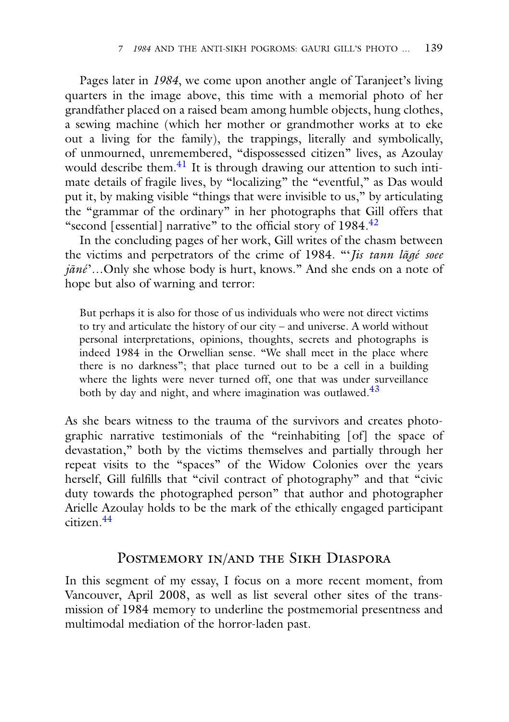Pages later in *1984*, we come upon another angle of Taranjeet's living quarters in the image above, this time with a memorial photo of her grandfather placed on a raised beam among humble objects, hung clothes, a sewing machine (which her mother or grandmother works at to eke out a living for the family), the trappings, literally and symbolically, of unmourned, unremembered, "dispossessed citizen" lives, as Azoulay would describe them.<sup>41</sup> It is through drawing our attention to such intimate details of fragile lives, by "localizing" the "eventful," as Das would put it, by making visible "things that were invisible to us," by articulating the "grammar of the ordinary" in her photographs that Gill offers that "second [essential] narrative" to the official story of  $1984<sup>42</sup>$ 

In the concluding pages of her work, Gill writes of the chasm between the victims and perpetrators of the crime of 1984. "'*Jis tann lãgé soee jãné*'…Only she whose body is hurt, knows." And she ends on a note of hope but also of warning and terror:

But perhaps it is also for those of us individuals who were not direct victims to try and articulate the history of our city – and universe. A world without personal interpretations, opinions, thoughts, secrets and photographs is indeed 1984 in the Orwellian sense. "We shall meet in the place where there is no darkness"; that place turned out to be a cell in a building where the lights were never turned off, one that was under surveillance both by day and night, and where imagination was outlawed.<sup>43</sup>

As she bears witness to the trauma of the survivors and creates photographic narrative testimonials of the "reinhabiting [of] the space of devastation," both by the victims themselves and partially through her repeat visits to the "spaces" of the Widow Colonies over the years herself, Gill fulfills that "civil contract of photography" and that "civic duty towards the photographed person" that author and photographer Arielle Azoulay holds to be the mark of the ethically engaged participant citizen.44

#### POSTMEMORY IN/AND THE SIKH DIASPORA

In this segment of my essay, I focus on a more recent moment, from Vancouver, April 2008, as well as list several other sites of the transmission of 1984 memory to underline the postmemorial presentness and multimodal mediation of the horror-laden past.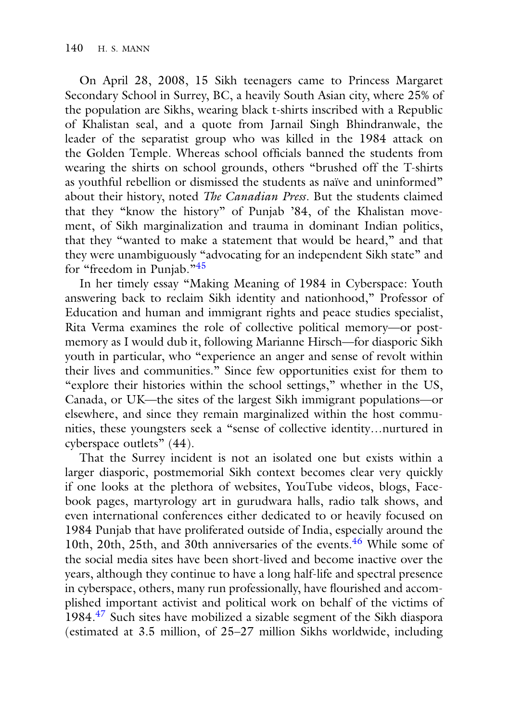On April 28, 2008, 15 Sikh teenagers came to Princess Margaret Secondary School in Surrey, BC, a heavily South Asian city, where 25% of the population are Sikhs, wearing black t-shirts inscribed with a Republic of Khalistan seal, and a quote from Jarnail Singh Bhindranwale, the leader of the separatist group who was killed in the 1984 attack on the Golden Temple. Whereas school officials banned the students from wearing the shirts on school grounds, others "brushed off the T-shirts as youthful rebellion or dismissed the students as naïve and uninformed" about their history, noted *The Canadian Press*. But the students claimed that they "know the history" of Punjab '84, of the Khalistan movement, of Sikh marginalization and trauma in dominant Indian politics, that they "wanted to make a statement that would be heard," and that they were unambiguously "advocating for an independent Sikh state" and for "freedom in Punjab."<sup>45</sup>

In her timely essay "Making Meaning of 1984 in Cyberspace: Youth answering back to reclaim Sikh identity and nationhood," Professor of Education and human and immigrant rights and peace studies specialist, Rita Verma examines the role of collective political memory—or postmemory as I would dub it, following Marianne Hirsch—for diasporic Sikh youth in particular, who "experience an anger and sense of revolt within their lives and communities." Since few opportunities exist for them to "explore their histories within the school settings," whether in the US, Canada, or UK—the sites of the largest Sikh immigrant populations—or elsewhere, and since they remain marginalized within the host communities, these youngsters seek a "sense of collective identity…nurtured in cyberspace outlets" (44).

That the Surrey incident is not an isolated one but exists within a larger diasporic, postmemorial Sikh context becomes clear very quickly if one looks at the plethora of websites, YouTube videos, blogs, Facebook pages, martyrology art in gurudwara halls, radio talk shows, and even international conferences either dedicated to or heavily focused on 1984 Punjab that have proliferated outside of India, especially around the 10th, 20th, 25th, and 30th anniversaries of the events.<sup>46</sup> While some of the social media sites have been short-lived and become inactive over the years, although they continue to have a long half-life and spectral presence in cyberspace, others, many run professionally, have flourished and accomplished important activist and political work on behalf of the victims of 1984.<sup>47</sup> Such sites have mobilized a sizable segment of the Sikh diaspora (estimated at 3.5 million, of 25–27 million Sikhs worldwide, including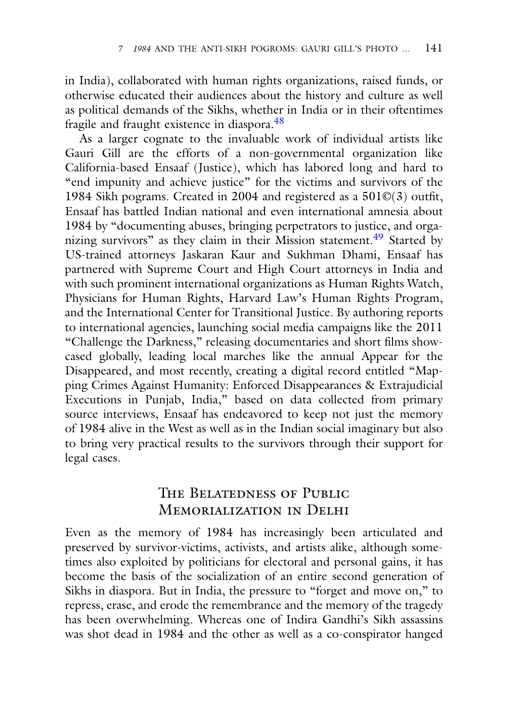in India), collaborated with human rights organizations, raised funds, or otherwise educated their audiences about the history and culture as well as political demands of the Sikhs, whether in India or in their oftentimes fragile and fraught existence in diaspora.<sup>48</sup>

As a larger cognate to the invaluable work of individual artists like Gauri Gill are the efforts of a non-governmental organization like California-based Ensaaf (Justice), which has labored long and hard to "end impunity and achieve justice" for the victims and survivors of the 1984 Sikh pograms. Created in 2004 and registered as a 501©(3) outfit, Ensaaf has battled Indian national and even international amnesia about 1984 by "documenting abuses, bringing perpetrators to justice, and organizing survivors" as they claim in their Mission statement.<sup>49</sup> Started by US-trained attorneys Jaskaran Kaur and Sukhman Dhami, Ensaaf has partnered with Supreme Court and High Court attorneys in India and with such prominent international organizations as Human Rights Watch, Physicians for Human Rights, Harvard Law's Human Rights Program, and the International Center for Transitional Justice. By authoring reports to international agencies, launching social media campaigns like the 2011 "Challenge the Darkness," releasing documentaries and short films showcased globally, leading local marches like the annual Appear for the Disappeared, and most recently, creating a digital record entitled "Mapping Crimes Against Humanity: Enforced Disappearances & Extrajudicial Executions in Punjab, India," based on data collected from primary source interviews, Ensaaf has endeavored to keep not just the memory of 1984 alive in the West as well as in the Indian social imaginary but also to bring very practical results to the survivors through their support for legal cases.

## The Belatedness of Public Memorialization in Delhi

Even as the memory of 1984 has increasingly been articulated and preserved by survivor-victims, activists, and artists alike, although sometimes also exploited by politicians for electoral and personal gains, it has become the basis of the socialization of an entire second generation of Sikhs in diaspora. But in India, the pressure to "forget and move on," to repress, erase, and erode the remembrance and the memory of the tragedy has been overwhelming. Whereas one of Indira Gandhi's Sikh assassins was shot dead in 1984 and the other as well as a co-conspirator hanged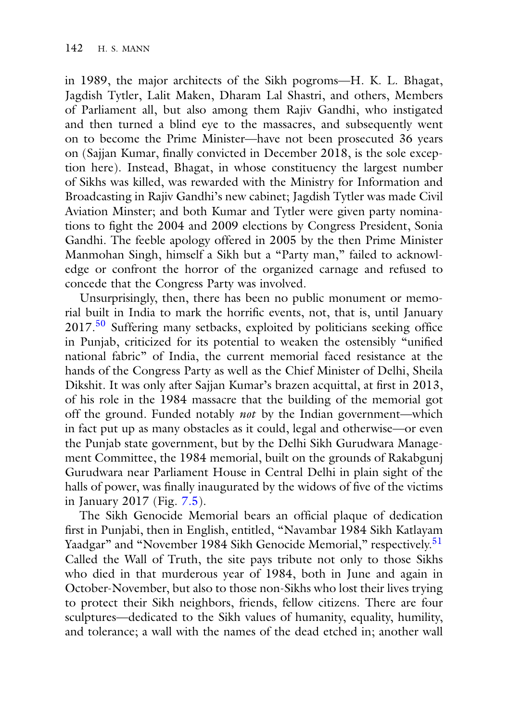in 1989, the major architects of the Sikh pogroms—H. K. L. Bhagat, Jagdish Tytler, Lalit Maken, Dharam Lal Shastri, and others, Members of Parliament all, but also among them Rajiv Gandhi, who instigated and then turned a blind eye to the massacres, and subsequently went on to become the Prime Minister—have not been prosecuted 36 years on (Sajjan Kumar, finally convicted in December 2018, is the sole exception here). Instead, Bhagat, in whose constituency the largest number of Sikhs was killed, was rewarded with the Ministry for Information and Broadcasting in Rajiv Gandhi's new cabinet; Jagdish Tytler was made Civil Aviation Minster; and both Kumar and Tytler were given party nominations to fight the 2004 and 2009 elections by Congress President, Sonia Gandhi. The feeble apology offered in 2005 by the then Prime Minister Manmohan Singh, himself a Sikh but a "Party man," failed to acknowledge or confront the horror of the organized carnage and refused to concede that the Congress Party was involved.

Unsurprisingly, then, there has been no public monument or memorial built in India to mark the horrific events, not, that is, until January 2017.<sup>50</sup> Suffering many setbacks, exploited by politicians seeking office in Punjab, criticized for its potential to weaken the ostensibly "unified national fabric" of India, the current memorial faced resistance at the hands of the Congress Party as well as the Chief Minister of Delhi, Sheila Dikshit. It was only after Sajjan Kumar's brazen acquittal, at first in 2013, of his role in the 1984 massacre that the building of the memorial got off the ground. Funded notably *not* by the Indian government—which in fact put up as many obstacles as it could, legal and otherwise—or even the Punjab state government, but by the Delhi Sikh Gurudwara Management Committee, the 1984 memorial, built on the grounds of Rakabgunj Gurudwara near Parliament House in Central Delhi in plain sight of the halls of power, was finally inaugurated by the widows of five of the victims in January 2017 (Fig. 7.5).

The Sikh Genocide Memorial bears an official plaque of dedication first in Punjabi, then in English, entitled, "Navambar 1984 Sikh Katlayam Yaadgar" and "November 1984 Sikh Genocide Memorial," respectively.<sup>51</sup> Called the Wall of Truth, the site pays tribute not only to those Sikhs who died in that murderous year of 1984, both in June and again in October-November, but also to those non-Sikhs who lost their lives trying to protect their Sikh neighbors, friends, fellow citizens. There are four sculptures—dedicated to the Sikh values of humanity, equality, humility, and tolerance; a wall with the names of the dead etched in; another wall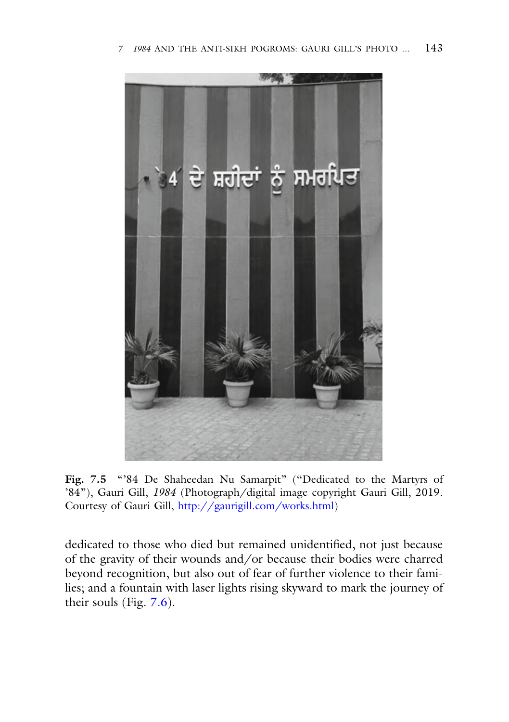

Fig. 7.5 "'84 De Shaheedan Nu Samarpit" ("Dedicated to the Martyrs of '84"), Gauri Gill, *1984* (Photograph/digital image copyright Gauri Gill, 2019. Courtesy of Gauri Gill, [http://gaurigill.com/works.html\)](http://gaurigill.com/works.html)

dedicated to those who died but remained unidentified, not just because of the gravity of their wounds and/or because their bodies were charred beyond recognition, but also out of fear of further violence to their families; and a fountain with laser lights rising skyward to mark the journey of their souls (Fig. 7.6).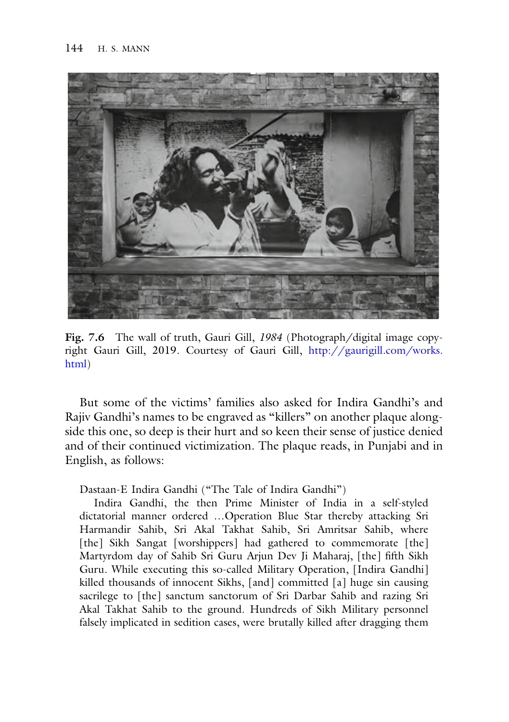

**Fig. 7.6** The wall of truth, Gauri Gill, *1984* (Photograph/digital image copy[right Gauri Gill, 2019. Courtesy of Gauri Gill,](http://gaurigill.com/works.html) http://gaurigill.com/works. html)

But some of the victims' families also asked for Indira Gandhi's and Rajiv Gandhi's names to be engraved as "killers" on another plaque alongside this one, so deep is their hurt and so keen their sense of justice denied and of their continued victimization. The plaque reads, in Punjabi and in English, as follows:

Dastaan-E Indira Gandhi ("The Tale of Indira Gandhi")

Indira Gandhi, the then Prime Minister of India in a self-styled dictatorial manner ordered …Operation Blue Star thereby attacking Sri Harmandir Sahib, Sri Akal Takhat Sahib, Sri Amritsar Sahib, where [the] Sikh Sangat [worshippers] had gathered to commemorate [the] Martyrdom day of Sahib Sri Guru Arjun Dev Ji Maharaj, [the] fifth Sikh Guru. While executing this so-called Military Operation, [Indira Gandhi] killed thousands of innocent Sikhs, [and] committed [a] huge sin causing sacrilege to [the] sanctum sanctorum of Sri Darbar Sahib and razing Sri Akal Takhat Sahib to the ground. Hundreds of Sikh Military personnel falsely implicated in sedition cases, were brutally killed after dragging them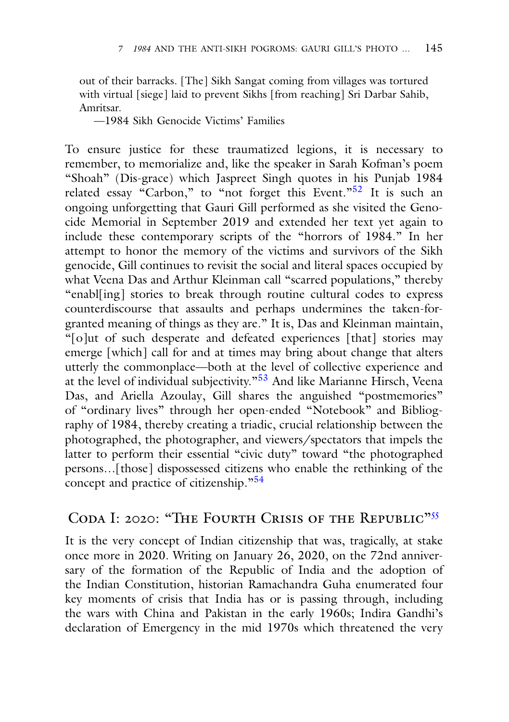out of their barracks. [The] Sikh Sangat coming from villages was tortured with virtual [siege] laid to prevent Sikhs [from reaching] Sri Darbar Sahib, Amritsar.

—1984 Sikh Genocide Victims' Families

To ensure justice for these traumatized legions, it is necessary to remember, to memorialize and, like the speaker in Sarah Kofman's poem "Shoah" (Dis-grace) which Jaspreet Singh quotes in his Punjab 1984 related essay "Carbon," to "not forget this Event."<sup>52</sup> It is such an ongoing unforgetting that Gauri Gill performed as she visited the Genocide Memorial in September 2019 and extended her text yet again to include these contemporary scripts of the "horrors of 1984." In her attempt to honor the memory of the victims and survivors of the Sikh genocide, Gill continues to revisit the social and literal spaces occupied by what Veena Das and Arthur Kleinman call "scarred populations," thereby "enabl[ing] stories to break through routine cultural codes to express counterdiscourse that assaults and perhaps undermines the taken-forgranted meaning of things as they are." It is, Das and Kleinman maintain, "[o]ut of such desperate and defeated experiences [that] stories may emerge [which] call for and at times may bring about change that alters utterly the commonplace—both at the level of collective experience and at the level of individual subjectivity."<sup>53</sup> And like Marianne Hirsch, Veena Das, and Ariella Azoulay, Gill shares the anguished "postmemories" of "ordinary lives" through her open-ended "Notebook" and Bibliography of 1984, thereby creating a triadic, crucial relationship between the photographed, the photographer, and viewers/spectators that impels the latter to perform their essential "civic duty" toward "the photographed persons…[those] dispossessed citizens who enable the rethinking of the concept and practice of citizenship."<sup>54</sup>

### CODA I: 2020: "THE FOURTH CRISIS OF THE REPUBLIC"<sup>55</sup>

It is the very concept of Indian citizenship that was, tragically, at stake once more in 2020. Writing on January 26, 2020, on the 72nd anniversary of the formation of the Republic of India and the adoption of the Indian Constitution, historian Ramachandra Guha enumerated four key moments of crisis that India has or is passing through, including the wars with China and Pakistan in the early 1960s; Indira Gandhi's declaration of Emergency in the mid 1970s which threatened the very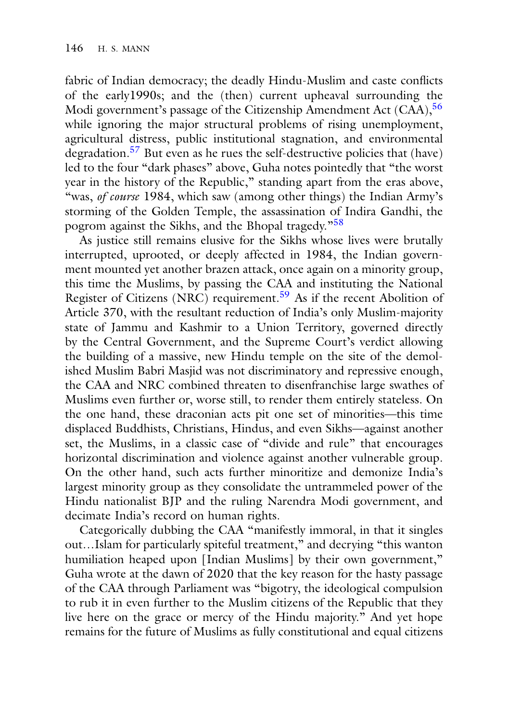fabric of Indian democracy; the deadly Hindu-Muslim and caste conflicts of the early1990s; and the (then) current upheaval surrounding the Modi government's passage of the Citizenship Amendment Act (CAA), <sup>56</sup> while ignoring the major structural problems of rising unemployment, agricultural distress, public institutional stagnation, and environmental degradation.57 But even as he rues the self-destructive policies that (have) led to the four "dark phases" above, Guha notes pointedly that "the worst year in the history of the Republic," standing apart from the eras above, "was, *of course* 1984, which saw (among other things) the Indian Army's storming of the Golden Temple, the assassination of Indira Gandhi, the pogrom against the Sikhs, and the Bhopal tragedy."<sup>58</sup>

As justice still remains elusive for the Sikhs whose lives were brutally interrupted, uprooted, or deeply affected in 1984, the Indian government mounted yet another brazen attack, once again on a minority group, this time the Muslims, by passing the CAA and instituting the National Register of Citizens (NRC) requirement.<sup>59</sup> As if the recent Abolition of Article 370, with the resultant reduction of India's only Muslim-majority state of Jammu and Kashmir to a Union Territory, governed directly by the Central Government, and the Supreme Court's verdict allowing the building of a massive, new Hindu temple on the site of the demolished Muslim Babri Masjid was not discriminatory and repressive enough, the CAA and NRC combined threaten to disenfranchise large swathes of Muslims even further or, worse still, to render them entirely stateless. On the one hand, these draconian acts pit one set of minorities—this time displaced Buddhists, Christians, Hindus, and even Sikhs—against another set, the Muslims, in a classic case of "divide and rule" that encourages horizontal discrimination and violence against another vulnerable group. On the other hand, such acts further minoritize and demonize India's largest minority group as they consolidate the untrammeled power of the Hindu nationalist BJP and the ruling Narendra Modi government, and decimate India's record on human rights.

Categorically dubbing the CAA "manifestly immoral, in that it singles out…Islam for particularly spiteful treatment," and decrying "this wanton humiliation heaped upon [Indian Muslims] by their own government," Guha wrote at the dawn of 2020 that the key reason for the hasty passage of the CAA through Parliament was "bigotry, the ideological compulsion to rub it in even further to the Muslim citizens of the Republic that they live here on the grace or mercy of the Hindu majority." And yet hope remains for the future of Muslims as fully constitutional and equal citizens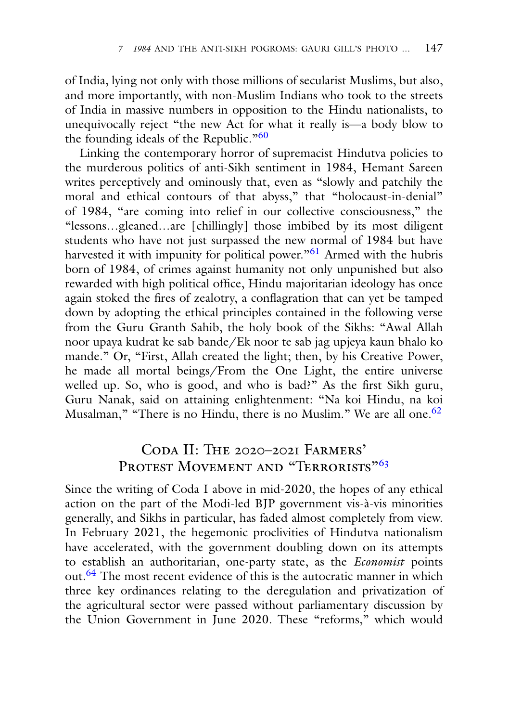of India, lying not only with those millions of secularist Muslims, but also, and more importantly, with non-Muslim Indians who took to the streets of India in massive numbers in opposition to the Hindu nationalists, to unequivocally reject "the new Act for what it really is—a body blow to the founding ideals of the Republic." $60$ 

Linking the contemporary horror of supremacist Hindutva policies to the murderous politics of anti-Sikh sentiment in 1984, Hemant Sareen writes perceptively and ominously that, even as "slowly and patchily the moral and ethical contours of that abyss," that "holocaust-in-denial" of 1984, "are coming into relief in our collective consciousness," the "lessons…gleaned…are [chillingly] those imbibed by its most diligent students who have not just surpassed the new normal of 1984 but have harvested it with impunity for political power."<sup>61</sup> Armed with the hubris born of 1984, of crimes against humanity not only unpunished but also rewarded with high political office, Hindu majoritarian ideology has once again stoked the fires of zealotry, a conflagration that can yet be tamped down by adopting the ethical principles contained in the following verse from the Guru Granth Sahib, the holy book of the Sikhs: "Awal Allah noor upaya kudrat ke sab bande/Ek noor te sab jag upjeya kaun bhalo ko mande." Or, "First, Allah created the light; then, by his Creative Power, he made all mortal beings/From the One Light, the entire universe welled up. So, who is good, and who is bad?" As the first Sikh guru, Guru Nanak, said on attaining enlightenment: "Na koi Hindu, na koi Musalman," "There is no Hindu, there is no Muslim." We are all one.  $62$ 

# Coda II: The 2020–2021 Farmers' PROTEST MOVEMENT AND "TERRORISTS"<sup>63</sup>

Since the writing of Coda I above in mid-2020, the hopes of any ethical action on the part of the Modi-led BJP government vis-à-vis minorities generally, and Sikhs in particular, has faded almost completely from view. In February 2021, the hegemonic proclivities of Hindutva nationalism have accelerated, with the government doubling down on its attempts to establish an authoritarian, one-party state, as the *Economist* points out.<sup>64</sup> The most recent evidence of this is the autocratic manner in which three key ordinances relating to the deregulation and privatization of the agricultural sector were passed without parliamentary discussion by the Union Government in June 2020. These "reforms," which would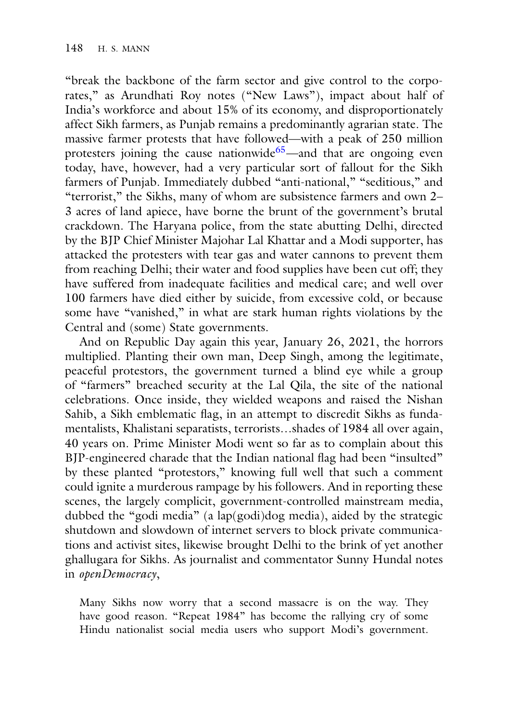"break the backbone of the farm sector and give control to the corporates," as Arundhati Roy notes ("New Laws"), impact about half of India's workforce and about 15% of its economy, and disproportionately affect Sikh farmers, as Punjab remains a predominantly agrarian state. The massive farmer protests that have followed—with a peak of 250 million protesters joining the cause nationwide<sup>65</sup>—and that are ongoing even today, have, however, had a very particular sort of fallout for the Sikh farmers of Punjab. Immediately dubbed "anti-national," "seditious," and "terrorist," the Sikhs, many of whom are subsistence farmers and own 2– 3 acres of land apiece, have borne the brunt of the government's brutal crackdown. The Haryana police, from the state abutting Delhi, directed by the BJP Chief Minister Majohar Lal Khattar and a Modi supporter, has attacked the protesters with tear gas and water cannons to prevent them from reaching Delhi; their water and food supplies have been cut off; they have suffered from inadequate facilities and medical care; and well over 100 farmers have died either by suicide, from excessive cold, or because some have "vanished," in what are stark human rights violations by the Central and (some) State governments.

And on Republic Day again this year, January 26, 2021, the horrors multiplied. Planting their own man, Deep Singh, among the legitimate, peaceful protestors, the government turned a blind eye while a group of "farmers" breached security at the Lal Qila, the site of the national celebrations. Once inside, they wielded weapons and raised the Nishan Sahib, a Sikh emblematic flag, in an attempt to discredit Sikhs as fundamentalists, Khalistani separatists, terrorists…shades of 1984 all over again, 40 years on. Prime Minister Modi went so far as to complain about this BJP-engineered charade that the Indian national flag had been "insulted" by these planted "protestors," knowing full well that such a comment could ignite a murderous rampage by his followers. And in reporting these scenes, the largely complicit, government-controlled mainstream media, dubbed the "godi media" (a lap(godi)dog media), aided by the strategic shutdown and slowdown of internet servers to block private communications and activist sites, likewise brought Delhi to the brink of yet another ghallugara for Sikhs. As journalist and commentator Sunny Hundal notes in *openDemocracy*,

Many Sikhs now worry that a second massacre is on the way. They have good reason. "Repeat 1984" has become the rallying cry of some Hindu nationalist social media users who support Modi's government.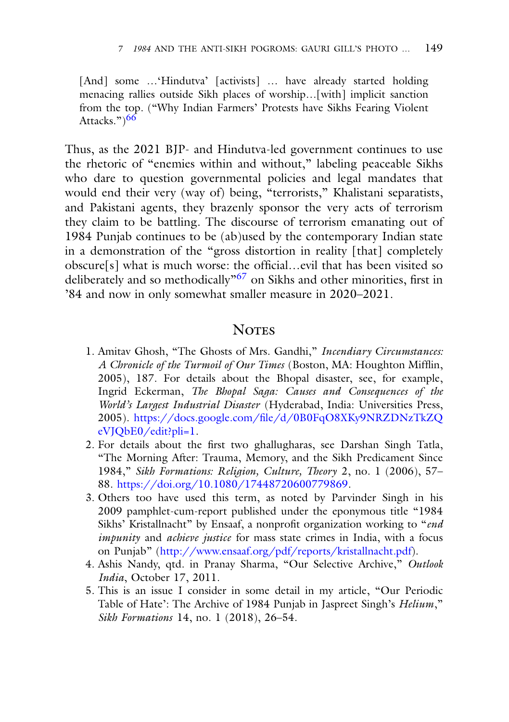[And] some ... 'Hindutva' [activists] ... have already started holding menacing rallies outside Sikh places of worship…[with] implicit sanction from the top. ("Why Indian Farmers' Protests have Sikhs Fearing Violent Attacks.") $66$ 

Thus, as the 2021 BJP- and Hindutva-led government continues to use the rhetoric of "enemies within and without," labeling peaceable Sikhs who dare to question governmental policies and legal mandates that would end their very (way of) being, "terrorists," Khalistani separatists, and Pakistani agents, they brazenly sponsor the very acts of terrorism they claim to be battling. The discourse of terrorism emanating out of 1984 Punjab continues to be (ab)used by the contemporary Indian state in a demonstration of the "gross distortion in reality [that] completely obscure[s] what is much worse: the official…evil that has been visited so deliberately and so methodically"67 on Sikhs and other minorities, first in '84 and now in only somewhat smaller measure in 2020–2021.

#### **NOTES**

- 1. Amitav Ghosh, "The Ghosts of Mrs. Gandhi," *Incendiary Circumstances: A Chronicle of the Turmoil of Our Times* (Boston, MA: Houghton Mifflin, 2005), 187. For details about the Bhopal disaster, see, for example, Ingrid Eckerman, *The Bhopal Saga: Causes and Consequences of the World's Largest Industrial Disaster* (Hyderabad, India: Universities Press, 2005). [https://docs.google.com/file/d/0B0FqO8XKy9NRZDNzTkZQ](https://docs.google.com/file/d/0B0FqO8XKy9NRZDNzTkZQeVJQbE0/edit?pli=1) eVJQbE0/edit?pli=1.
- 2. For details about the first two ghallugharas, see Darshan Singh Tatla, "The Morning After: Trauma, Memory, and the Sikh Predicament Since 1984," *Sikh Formations: Religion, Culture, Theory* 2, no. 1 (2006), 57– 88. [https://doi.org/10.1080/17448720600779869.](https://doi.org/10.1080/17448720600779869)
- 3. Others too have used this term, as noted by Parvinder Singh in his 2009 pamphlet-cum-report published under the eponymous title "1984 Sikhs' Kristallnacht" by Ensaaf, a nonprofit organization working to "*end impunity* and *achieve justice* for mass state crimes in India, with a focus on Punjab" [\(http://www.ensaaf.org/pdf/reports/kristallnacht.pdf\)](http://www.ensaaf.org/pdf/reports/kristallnacht.pdf).
- 4. Ashis Nandy, qtd. in Pranay Sharma, "Our Selective Archive," *Outlook India*, October 17, 2011.
- 5. This is an issue I consider in some detail in my article, "Our Periodic Table of Hate': The Archive of 1984 Punjab in Jaspreet Singh's *Helium*," *Sikh Formations* 14, no. 1 (2018), 26–54.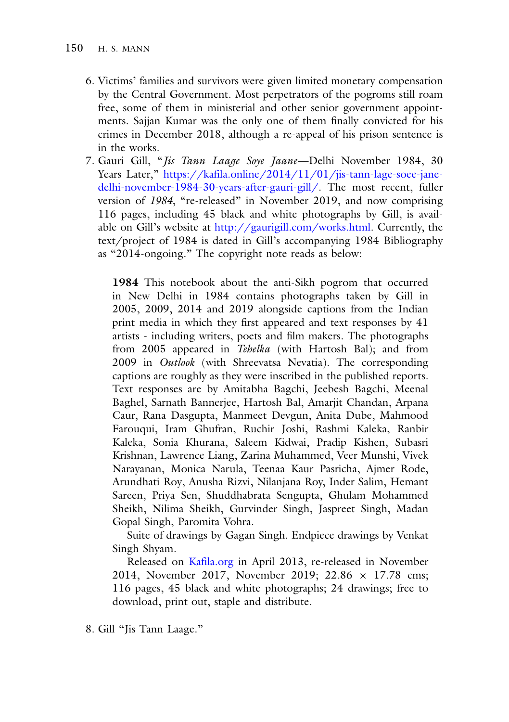- 6. Victims' families and survivors were given limited monetary compensation by the Central Government. Most perpetrators of the pogroms still roam free, some of them in ministerial and other senior government appointments. Sajjan Kumar was the only one of them finally convicted for his crimes in December 2018, although a re-appeal of his prison sentence is in the works.
- 7. Gauri Gill, "*Jis Tann Laage Soye Jaane*—Delhi November 1984, 30 Years Later," https://kafila.online/2014/11/01/jis-tann-lage-soee-jane[delhi-november-1984-30-years-after-gauri-gill/. The most recent, fuller](https://kafila.online/2014/11/01/jis-tann-lage-soee-jane-delhi-november-1984-30-years-after-gauri-gill/) version of *1984*, "re-released" in November 2019, and now comprising 116 pages, including 45 black and white photographs by Gill, is available on Gill's website at [http://gaurigill.com/works.html.](http://gaurigill.com/works.html) Currently, the text/project of 1984 is dated in Gill's accompanying 1984 Bibliography as "2014-ongoing." The copyright note reads as below:

**1984** This notebook about the anti-Sikh pogrom that occurred in New Delhi in 1984 contains photographs taken by Gill in 2005, 2009, 2014 and 2019 alongside captions from the Indian print media in which they first appeared and text responses by 41 artists - including writers, poets and film makers. The photographs from 2005 appeared in *Tehelka* (with Hartosh Bal); and from 2009 in *Outlook* (with Shreevatsa Nevatia). The corresponding captions are roughly as they were inscribed in the published reports. Text responses are by Amitabha Bagchi, Jeebesh Bagchi, Meenal Baghel, Sarnath Bannerjee, Hartosh Bal, Amarjit Chandan, Arpana Caur, Rana Dasgupta, Manmeet Devgun, Anita Dube, Mahmood Farouqui, Iram Ghufran, Ruchir Joshi, Rashmi Kaleka, Ranbir Kaleka, Sonia Khurana, Saleem Kidwai, Pradip Kishen, Subasri Krishnan, Lawrence Liang, Zarina Muhammed, Veer Munshi, Vivek Narayanan, Monica Narula, Teenaa Kaur Pasricha, Ajmer Rode, Arundhati Roy, Anusha Rizvi, Nilanjana Roy, Inder Salim, Hemant Sareen, Priya Sen, Shuddhabrata Sengupta, Ghulam Mohammed Sheikh, Nilima Sheikh, Gurvinder Singh, Jaspreet Singh, Madan Gopal Singh, Paromita Vohra.

Suite of drawings by Gagan Singh. Endpiece drawings by Venkat Singh Shyam.

Released on [Kafila.org](http://Kafila.org) in April 2013, re-released in November 2014, November 2017, November 2019; 22.86 × 17.78 cms; 116 pages, 45 black and white photographs; 24 drawings; free to download, print out, staple and distribute.

8. Gill "Jis Tann Laage."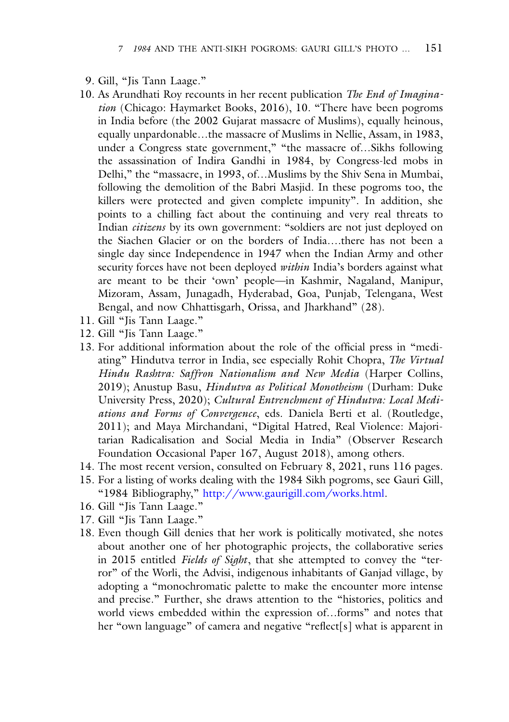- 9. Gill, "Jis Tann Laage."
- 10. As Arundhati Roy recounts in her recent publication *The End of Imagination* (Chicago: Haymarket Books, 2016), 10. "There have been pogroms in India before (the 2002 Gujarat massacre of Muslims), equally heinous, equally unpardonable…the massacre of Muslims in Nellie, Assam, in 1983, under a Congress state government," "the massacre of…Sikhs following the assassination of Indira Gandhi in 1984, by Congress-led mobs in Delhi," the "massacre, in 1993, of…Muslims by the Shiv Sena in Mumbai, following the demolition of the Babri Masjid. In these pogroms too, the killers were protected and given complete impunity". In addition, she points to a chilling fact about the continuing and very real threats to Indian *citizens* by its own government: "soldiers are not just deployed on the Siachen Glacier or on the borders of India….there has not been a single day since Independence in 1947 when the Indian Army and other security forces have not been deployed *within* India's borders against what are meant to be their 'own' people—in Kashmir, Nagaland, Manipur, Mizoram, Assam, Junagadh, Hyderabad, Goa, Punjab, Telengana, West Bengal, and now Chhattisgarh, Orissa, and Jharkhand" (28).
- 11. Gill "Jis Tann Laage."
- 12. Gill "Jis Tann Laage."
- 13. For additional information about the role of the official press in "mediating" Hindutva terror in India, see especially Rohit Chopra, *The Virtual Hindu Rashtra: Saffron Nationalism and New Media* (Harper Collins, 2019); Anustup Basu, *Hindutva as Political Monotheism* (Durham: Duke University Press, 2020); *Cultural Entrenchment of Hindutva: Local Mediations and Forms of Convergence*, eds. Daniela Berti et al. (Routledge, 2011); and Maya Mirchandani, "Digital Hatred, Real Violence: Majoritarian Radicalisation and Social Media in India" (Observer Research Foundation Occasional Paper 167, August 2018), among others.
- 14. The most recent version, consulted on February 8, 2021, runs 116 pages.
- 15. For a listing of works dealing with the 1984 Sikh pogroms, see Gauri Gill, "1984 Bibliography," [http://www.gaurigill.com/works.html.](http://www.gaurigill.com/works.html)
- 16. Gill "Jis Tann Laage."
- 17. Gill "Jis Tann Laage."
- 18. Even though Gill denies that her work is politically motivated, she notes about another one of her photographic projects, the collaborative series in 2015 entitled *Fields of Sight*, that she attempted to convey the "terror" of the Worli, the Advisi, indigenous inhabitants of Ganjad village, by adopting a "monochromatic palette to make the encounter more intense and precise." Further, she draws attention to the "histories, politics and world views embedded within the expression of…forms" and notes that her "own language" of camera and negative "reflect[s] what is apparent in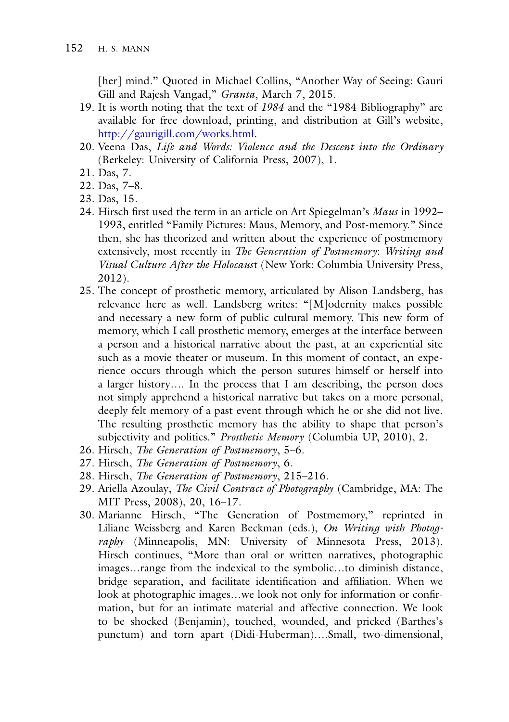[her] mind." Quoted in Michael Collins, "Another Way of Seeing: Gauri Gill and Rajesh Vangad," *Granta*, March 7, 2015.

- 19. It is worth noting that the text of *1984* and the "1984 Bibliography" are available for free download, printing, and distribution at Gill's website, [http://gaurigill.com/works.html.](http://gaurigill.com/works.html)
- 20. Veena Das, *Life and Words: Violence and the Descent into the Ordinary* (Berkeley: University of California Press, 2007), 1.
- 21. Das, 7.
- 22. Das, 7–8.
- 23. Das, 15.
- 24. Hirsch first used the term in an article on Art Spiegelman's *Maus* in 1992– 1993, entitled "Family Pictures: Maus, Memory, and Post-memory." Since then, she has theorized and written about the experience of postmemory extensively, most recently in *The Generation of Postmemory*: *Writing and Visual Culture After the Holocaus*t (New York: Columbia University Press, 2012).
- 25. The concept of prosthetic memory, articulated by Alison Landsberg, has relevance here as well. Landsberg writes: "[M]odernity makes possible and necessary a new form of public cultural memory. This new form of memory, which I call prosthetic memory, emerges at the interface between a person and a historical narrative about the past, at an experiential site such as a movie theater or museum. In this moment of contact, an experience occurs through which the person sutures himself or herself into a larger history…. In the process that I am describing, the person does not simply apprehend a historical narrative but takes on a more personal, deeply felt memory of a past event through which he or she did not live. The resulting prosthetic memory has the ability to shape that person's subjectivity and politics." *Prosthetic Memory* (Columbia UP, 2010), 2.
- 26. Hirsch, *The Generation of Postmemory*, 5–6.
- 27. Hirsch, *The Generation of Postmemory*, 6.
- 28. Hirsch, *The Generation of Postmemory*, 215–216.
- 29. Ariella Azoulay, *The Civil Contract of Photography* (Cambridge, MA: The MIT Press, 2008), 20, 16–17.
- 30. Marianne Hirsch, "The Generation of Postmemory," reprinted in Liliane Weissberg and Karen Beckman (eds.), *On Writing with Photography* (Minneapolis, MN: University of Minnesota Press, 2013). Hirsch continues, "More than oral or written narratives, photographic images…range from the indexical to the symbolic…to diminish distance, bridge separation, and facilitate identification and affiliation. When we look at photographic images…we look not only for information or confirmation, but for an intimate material and affective connection. We look to be shocked (Benjamin), touched, wounded, and pricked (Barthes's punctum) and torn apart (Didi-Huberman)….Small, two-dimensional,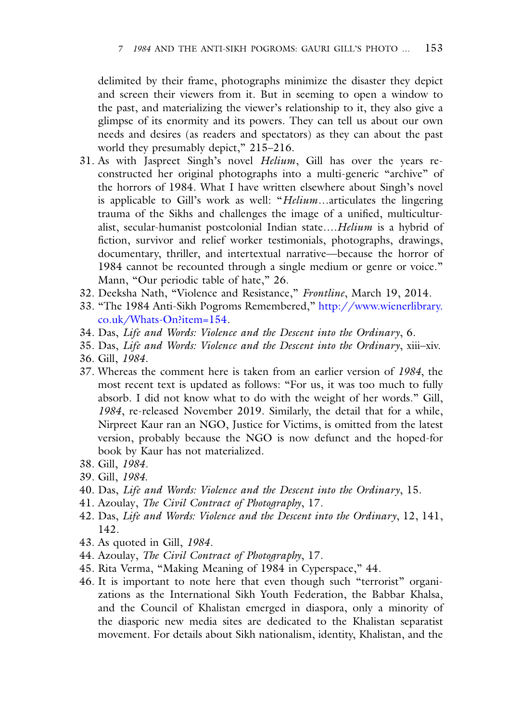delimited by their frame, photographs minimize the disaster they depict and screen their viewers from it. But in seeming to open a window to the past, and materializing the viewer's relationship to it, they also give a glimpse of its enormity and its powers. They can tell us about our own needs and desires (as readers and spectators) as they can about the past world they presumably depict," 215-216.

- 31. As with Jaspreet Singh's novel *Helium*, Gill has over the years reconstructed her original photographs into a multi-generic "archive" of the horrors of 1984. What I have written elsewhere about Singh's novel is applicable to Gill's work as well: "*Helium*…articulates the lingering trauma of the Sikhs and challenges the image of a unified, multiculturalist, secular-humanist postcolonial Indian state….*Helium* is a hybrid of fiction, survivor and relief worker testimonials, photographs, drawings, documentary, thriller, and intertextual narrative—because the horror of 1984 cannot be recounted through a single medium or genre or voice." Mann, "Our periodic table of hate," 26.
- 32. Deeksha Nath, "Violence and Resistance," *Frontline*, March 19, 2014.
- 33. ["The 1984 Anti-Sikh Pogroms Remembered,"](http://www.wienerlibrary.co.uk/Whats-On%3fitem%3d154) http://www.wienerlibrary. co.uk/Whats-On?item=154.
- 34. Das, *Life and Words: Violence and the Descent into the Ordinary*, 6.
- 35. Das, *Life and Words: Violence and the Descent into the Ordinary*, xiii–xiv.
- 36. Gill, *1984*.
- 37. Whereas the comment here is taken from an earlier version of *1984*, the most recent text is updated as follows: "For us, it was too much to fully absorb. I did not know what to do with the weight of her words." Gill, *1984*, re-released November 2019. Similarly, the detail that for a while, Nirpreet Kaur ran an NGO, Justice for Victims, is omitted from the latest version, probably because the NGO is now defunct and the hoped-for book by Kaur has not materialized.
- 38. Gill, *1984*.
- 39. Gill, *1984*.
- 40. Das, *Life and Words: Violence and the Descent into the Ordinary*, 15.
- 41. Azoulay, *The Civil Contract of Photography*, 17.
- 42. Das, *Life and Words: Violence and the Descent into the Ordinary*, 12, 141, 142.
- 43. As quoted in Gill, *1984*.
- 44. Azoulay, *The Civil Contract of Photography*, 17.
- 45. Rita Verma, "Making Meaning of 1984 in Cyperspace," 44.
- 46. It is important to note here that even though such "terrorist" organizations as the International Sikh Youth Federation, the Babbar Khalsa, and the Council of Khalistan emerged in diaspora, only a minority of the diasporic new media sites are dedicated to the Khalistan separatist movement. For details about Sikh nationalism, identity, Khalistan, and the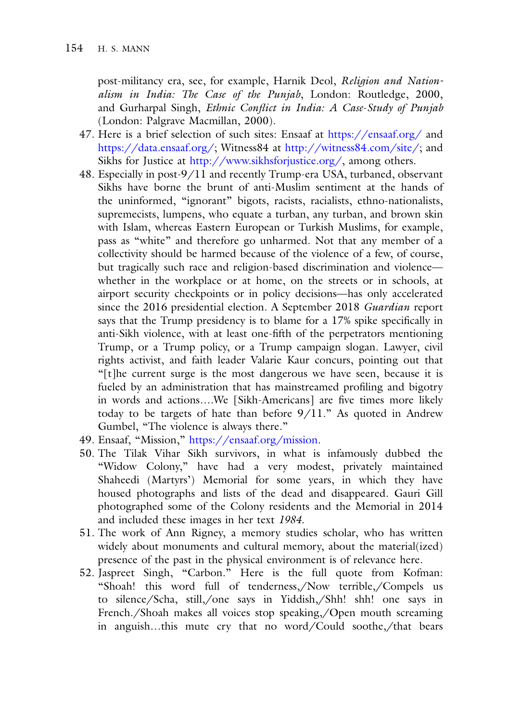post-militancy era, see, for example, Harnik Deol, *Religion and Nationalism in India: The Case of the Punjab*, London: Routledge, 2000, and Gurharpal Singh, *Ethnic Conflict in India: A Case*-*Study of Punjab* (London: Palgrave Macmillan, 2000).

- 47. Here is a brief selection of such sites: Ensaaf at <https://ensaaf.org/> and [https://data.ensaaf.org/;](https://data.ensaaf.org/) Witness84 at [http://witness84.com/site/;](http://witness84.com/site/) and Sikhs for Justice at [http://www.sikhsforjustice.org/,](http://www.sikhsforjustice.org/) among others.
- 48. Especially in post-9/11 and recently Trump-era USA, turbaned, observant Sikhs have borne the brunt of anti-Muslim sentiment at the hands of the uninformed, "ignorant" bigots, racists, racialists, ethno-nationalists, supremecists, lumpens, who equate a turban, any turban, and brown skin with Islam, whereas Eastern European or Turkish Muslims, for example, pass as "white" and therefore go unharmed. Not that any member of a collectivity should be harmed because of the violence of a few, of course, but tragically such race and religion-based discrimination and violence whether in the workplace or at home, on the streets or in schools, at airport security checkpoints or in policy decisions—has only accelerated since the 2016 presidential election. A September 2018 *Guardian* report says that the Trump presidency is to blame for a 17% spike specifically in anti-Sikh violence, with at least one-fifth of the perpetrators mentioning Trump, or a Trump policy, or a Trump campaign slogan. Lawyer, civil rights activist, and faith leader Valarie Kaur concurs, pointing out that "[t]he current surge is the most dangerous we have seen, because it is fueled by an administration that has mainstreamed profiling and bigotry in words and actions….We [Sikh-Americans] are five times more likely today to be targets of hate than before 9/11." As quoted in Andrew Gumbel, "The violence is always there."
- 49. Ensaaf, "Mission," [https://ensaaf.org/mission.](https://ensaaf.org/mission)
- 50. The Tilak Vihar Sikh survivors, in what is infamously dubbed the "Widow Colony," have had a very modest, privately maintained Shaheedi (Martyrs') Memorial for some years, in which they have housed photographs and lists of the dead and disappeared. Gauri Gill photographed some of the Colony residents and the Memorial in 2014 and included these images in her text *1984*.
- 51. The work of Ann Rigney, a memory studies scholar, who has written widely about monuments and cultural memory, about the material(ized) presence of the past in the physical environment is of relevance here.
- 52. Jaspreet Singh, "Carbon." Here is the full quote from Kofman: "Shoah! this word full of tenderness,/Now terrible,/Compels us to silence/Scha, still,/one says in Yiddish,/Shh! shh! one says in French./Shoah makes all voices stop speaking,/Open mouth screaming in anguish…this mute cry that no word/Could soothe,/that bears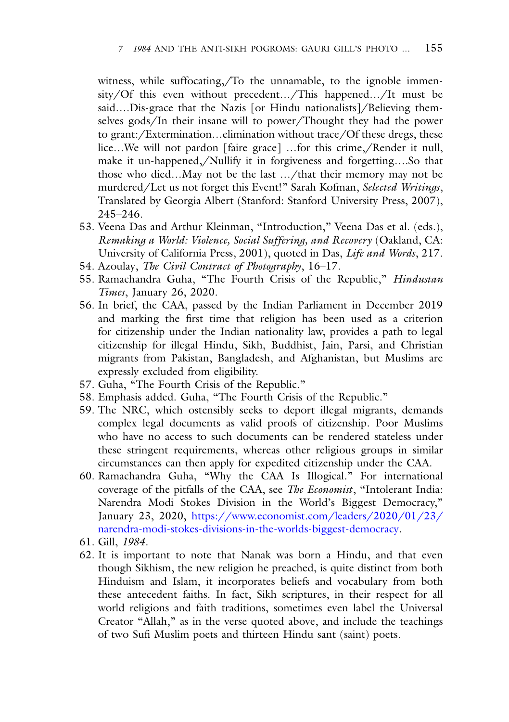witness, while suffocating,/To the unnamable, to the ignoble immensity/Of this even without precedent…/This happened…/It must be said….Dis-grace that the Nazis [or Hindu nationalists]/Believing themselves gods/In their insane will to power/Thought they had the power to grant:/Extermination…elimination without trace/Of these dregs, these lice…We will not pardon [faire grace] …for this crime,/Render it null, make it un-happened,/Nullify it in forgiveness and forgetting….So that those who died…May not be the last …/that their memory may not be murdered/Let us not forget this Event!" Sarah Kofman, *Selected Writings*, Translated by Georgia Albert (Stanford: Stanford University Press, 2007), 245–246.

- 53. Veena Das and Arthur Kleinman, "Introduction," Veena Das et al. (eds.), *Remaking a World: Violence, Social Suffering, and Recovery* (Oakland, CA: University of California Press, 2001), quoted in Das, *Life and Words*, 217.
- 54. Azoulay, *The Civil Contract of Photography*, 16–17.
- 55. Ramachandra Guha, "The Fourth Crisis of the Republic," *Hindustan Times*, January 26, 2020.
- 56. In brief, the CAA, passed by the Indian Parliament in December 2019 and marking the first time that religion has been used as a criterion for citizenship under the Indian nationality law, provides a path to legal citizenship for illegal Hindu, Sikh, Buddhist, Jain, Parsi, and Christian migrants from Pakistan, Bangladesh, and Afghanistan, but Muslims are expressly excluded from eligibility.
- 57. Guha, "The Fourth Crisis of the Republic."
- 58. Emphasis added. Guha, "The Fourth Crisis of the Republic."
- 59. The NRC, which ostensibly seeks to deport illegal migrants, demands complex legal documents as valid proofs of citizenship. Poor Muslims who have no access to such documents can be rendered stateless under these stringent requirements, whereas other religious groups in similar circumstances can then apply for expedited citizenship under the CAA.
- 60. Ramachandra Guha, "Why the CAA Is Illogical." For international coverage of the pitfalls of the CAA, see *The Economist*, "Intolerant India: Narendra Modi Stokes Division in the World's Biggest Democracy," January 23, 2020, https://www.economist.com/leaders/2020/01/23/ [narendra-modi-stokes-divisions-in-the-worlds-biggest-democracy.](https://www.economist.com/leaders/2020/01/23/narendra-modi-stokes-divisions-in-the-worlds-biggest-democracy)
- 61. Gill, *1984*.
- 62. It is important to note that Nanak was born a Hindu, and that even though Sikhism, the new religion he preached, is quite distinct from both Hinduism and Islam, it incorporates beliefs and vocabulary from both these antecedent faiths. In fact, Sikh scriptures, in their respect for all world religions and faith traditions, sometimes even label the Universal Creator "Allah," as in the verse quoted above, and include the teachings of two Sufi Muslim poets and thirteen Hindu sant (saint) poets.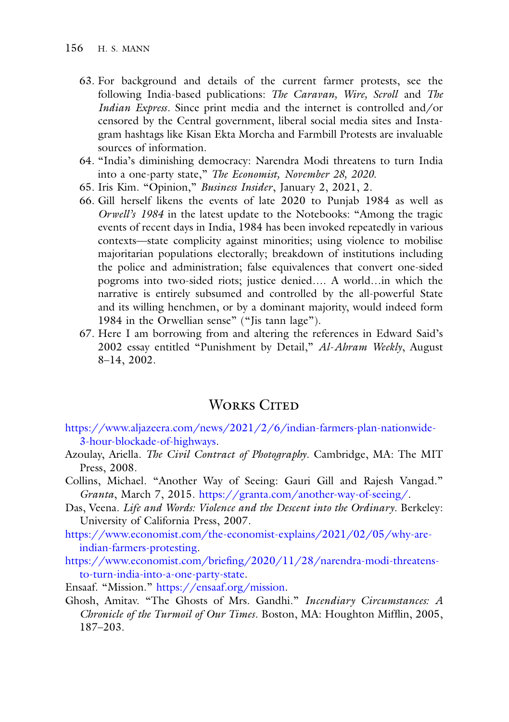- 63. For background and details of the current farmer protests, see the following India-based publications: *The Caravan, Wire, Scroll* and *The Indian Express*. Since print media and the internet is controlled and/or censored by the Central government, liberal social media sites and Instagram hashtags like Kisan Ekta Morcha and Farmbill Protests are invaluable sources of information.
- 64. "India's diminishing democracy: Narendra Modi threatens to turn India into a one-party state," *The Economist, November 28, 2020.*
- 65. Iris Kim. "Opinion," *Business Insider*, January 2, 2021, 2.
- 66. Gill herself likens the events of late 2020 to Punjab 1984 as well as *Orwell's 1984* in the latest update to the Notebooks: "Among the tragic events of recent days in India, 1984 has been invoked repeatedly in various contexts—state complicity against minorities; using violence to mobilise majoritarian populations electorally; breakdown of institutions including the police and administration; false equivalences that convert one-sided pogroms into two-sided riots; justice denied…. A world…in which the narrative is entirely subsumed and controlled by the all-powerful State and its willing henchmen, or by a dominant majority, would indeed form 1984 in the Orwellian sense" ("Jis tann lage").
- 67. Here I am borrowing from and altering the references in Edward Said's 2002 essay entitled "Punishment by Detail," *Al*-*Ahram Weekly*, August 8–14, 2002.

#### WORKS CITED

- [https://www.aljazeera.com/news/2021/2/6/indian-farmers-plan-nationwide-](https://www.aljazeera.com/news/2021/2/6/indian-farmers-plan-nationwide-3-hour-blockade-of-highways)3-hour-blockade-of-highways.
- Azoulay, Ariella. *The Civil Contract of Photography*. Cambridge, MA: The MIT Press, 2008.
- Collins, Michael. "Another Way of Seeing: Gauri Gill and Rajesh Vangad." *Granta*, March 7, 2015. [https://granta.com/another-way-of-seeing/.](https://granta.com/another-way-of-seeing/)
- Das, Veena. *Life and Words: Violence and the Descent into the Ordinary*. Berkeley: University of California Press, 2007.
- [https://www.economist.com/the-economist-explains/2021/02/05/why-are](https://www.economist.com/the-economist-explains/2021/02/05/why-are-indian-farmers-protesting)indian-farmers-protesting.
- [https://www.economist.com/briefing/2020/11/28/narendra-modi-threatens](https://www.economist.com/briefing/2020/11/28/narendra-modi-threatens-to-turn-india-into-a-one-party-state)to-turn-india-into-a-one-party-state.
- Ensaaf. "Mission." [https://ensaaf.org/mission.](https://ensaaf.org/mission)
- Ghosh, Amitav. "The Ghosts of Mrs. Gandhi." *Incendiary Circumstances: A Chronicle of the Turmoil of Our Times*. Boston, MA: Houghton Mifflin, 2005, 187–203.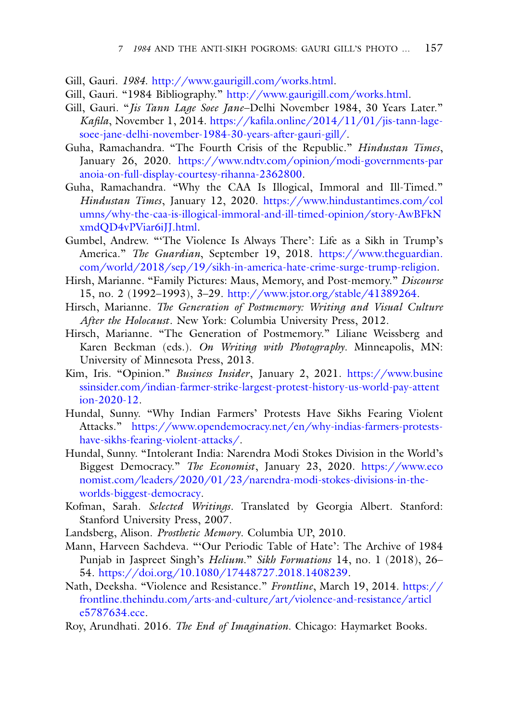- Gill, Gauri. *1984*. [http://www.gaurigill.com/works.html.](http://www.gaurigill.com/works.html)
- Gill, Gauri. "1984 Bibliography." [http://www.gaurigill.com/works.html.](http://www.gaurigill.com/works.html)
- Gill, Gauri. "*Jis Tann Lage Soee Jane*–Delhi November 1984, 30 Years Later." *Kafila*, November 1, 2014. https://kafila.online/2014/11/01/jis-tann-lage[soee-jane-delhi-november-1984-30-years-after-gauri-gill/.](https://kafila.online/2014/11/01/jis-tann-lage-soee-jane-delhi-november-1984-30-years-after-gauri-gill/)
- Guha, Ramachandra. "The Fourth Crisis of the Republic." *Hindustan Times*, January 26, 2020. [https://www.ndtv.com/opinion/modi-governments-par](https://www.ndtv.com/opinion/modi-governments-paranoia-on-full-display-courtesy-rihanna-2362800) anoia-on-full-display-courtesy-rihanna-2362800.
- Guha, Ramachandra. "Why the CAA Is Illogical, Immoral and Ill-Timed." *Hindustan Times*, January 12, 2020. https://www.hindustantimes.com/col [umns/why-the-caa-is-illogical-immoral-and-ill-timed-opinion/story-AwBFkN](https://www.hindustantimes.com/columns/why-the-caa-is-illogical-immoral-and-ill-timed-opinion/story-AwBFkNxmdQD4vPViar6iJJ.html) xmdQD4vPViar6iJJ.html.
- Gumbel, Andrew. "'The Violence Is Always There': Life as a Sikh in Trump's America." *The Guardian*, September 19, 2018. https://www.theguardian. [com/world/2018/sep/19/sikh-in-america-hate-crime-surge-trump-religion.](https://www.theguardian.com/world/2018/sep/19/sikh-in-america-hate-crime-surge-trump-religion)
- Hirsh, Marianne. "Family Pictures: Maus, Memory, and Post-memory." *Discourse* 15, no. 2 (1992–1993), 3–29. [http://www.jstor.org/stable/41389264.](http://www.jstor.org/stable/41389264)
- Hirsch, Marianne. *The Generation of Postmemory: Writing and Visual Culture After the Holocaust*. New York: Columbia University Press, 2012.
- Hirsch, Marianne. "The Generation of Postmemory." Liliane Weissberg and Karen Beckman (eds.). *On Writing with Photography*. Minneapolis, MN: University of Minnesota Press, 2013.
- Kim, Iris. "Opinion." *Business Insider*, January 2, 2021. https://www.busine [ssinsider.com/indian-farmer-strike-largest-protest-history-us-world-pay-attent](https://www.businessinsider.com/indian-farmer-strike-largest-protest-history-us-world-pay-attention-2020-12) ion-2020-12.
- Hundal, Sunny. "Why Indian Farmers' Protests Have Sikhs Fearing Violent Attacks." [https://www.opendemocracy.net/en/why-indias-farmers-protests](https://www.opendemocracy.net/en/why-indias-farmers-protests-have-sikhs-fearing-violent-attacks/)have-sikhs-fearing-violent-attacks/.
- Hundal, Sunny. "Intolerant India: Narendra Modi Stokes Division in the World's Biggest Democracy." *The Economist*, January 23, 2020. https://www.eco [nomist.com/leaders/2020/01/23/narendra-modi-stokes-divisions-in-the](https://www.economist.com/leaders/2020/01/23/narendra-modi-stokes-divisions-in-the-worlds-biggest-democracy)worlds-biggest-democracy.
- Kofman, Sarah. *Selected Writings*. Translated by Georgia Albert. Stanford: Stanford University Press, 2007.
- Landsberg, Alison. *Prosthetic Memory*. Columbia UP, 2010.
- Mann, Harveen Sachdeva. "'Our Periodic Table of Hate': The Archive of 1984 Punjab in Jaspreet Singh's *Helium*." *Sikh Formations* 14, no. 1 (2018), 26– 54. [https://doi.org/10.1080/17448727.2018.1408239.](https://doi.org/10.1080/17448727.2018.1408239)
- Nath, Deeksha. "Violence and Resistance." *Frontline*, March 19, 2014. https:// [frontline.thehindu.com/arts-and-culture/art/violence-and-resistance/articl](https://frontline.thehindu.com/arts-and-culture/art/violence-and-resistance/article5787634.ece) e5787634.ece.
- Roy, Arundhati. 2016. *The End of Imagination*. Chicago: Haymarket Books.